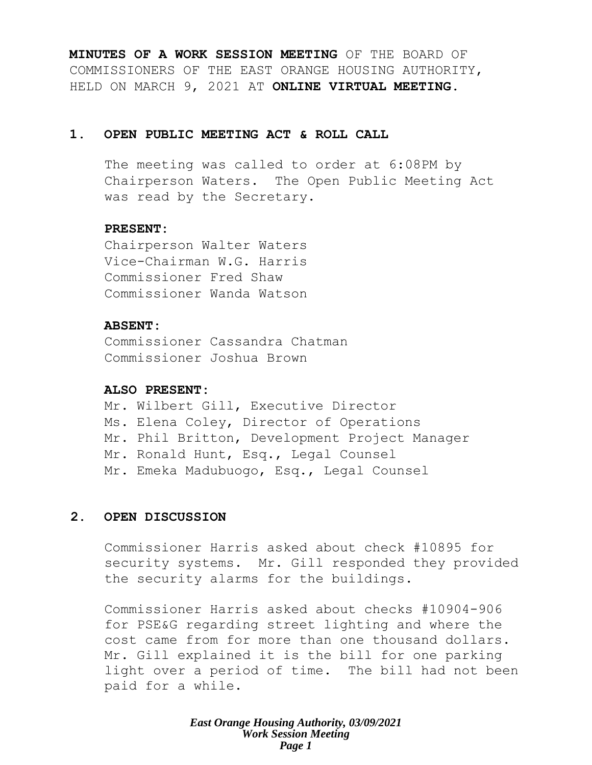**MINUTES OF A WORK SESSION MEETING** OF THE BOARD OF COMMISSIONERS OF THE EAST ORANGE HOUSING AUTHORITY, HELD ON MARCH 9, 2021 AT **ONLINE VIRTUAL MEETING**.

### **1. OPEN PUBLIC MEETING ACT & ROLL CALL**

The meeting was called to order at 6:08PM by Chairperson Waters. The Open Public Meeting Act was read by the Secretary.

### **PRESENT:**

Chairperson Walter Waters Vice-Chairman W.G. Harris Commissioner Fred Shaw Commissioner Wanda Watson

### **ABSENT:**

Commissioner Cassandra Chatman Commissioner Joshua Brown

### **ALSO PRESENT:**

Mr. Wilbert Gill, Executive Director Ms. Elena Coley, Director of Operations Mr. Phil Britton, Development Project Manager Mr. Ronald Hunt, Esq., Legal Counsel Mr. Emeka Madubuogo, Esq., Legal Counsel

### **2. OPEN DISCUSSION**

Commissioner Harris asked about check #10895 for security systems. Mr. Gill responded they provided the security alarms for the buildings.

Commissioner Harris asked about checks #10904-906 for PSE&G regarding street lighting and where the cost came from for more than one thousand dollars. Mr. Gill explained it is the bill for one parking light over a period of time. The bill had not been paid for a while.

> *East Orange Housing Authority, 03/09/2021 Work Session Meeting Page 1*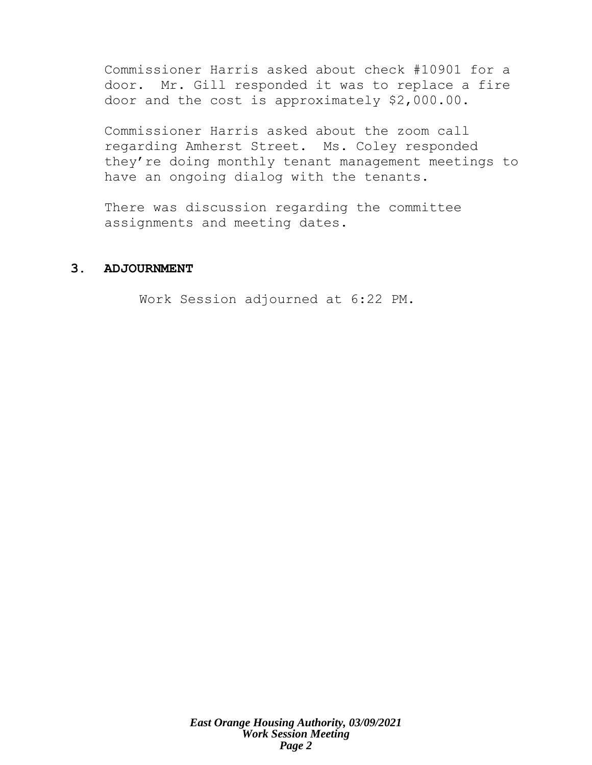Commissioner Harris asked about check #10901 for a door. Mr. Gill responded it was to replace a fire door and the cost is approximately \$2,000.00.

Commissioner Harris asked about the zoom call regarding Amherst Street. Ms. Coley responded they're doing monthly tenant management meetings to have an ongoing dialog with the tenants.

There was discussion regarding the committee assignments and meeting dates.

### **3. ADJOURNMENT**

Work Session adjourned at 6:22 PM.

*East Orange Housing Authority, 03/09/2021 Work Session Meeting Page 2*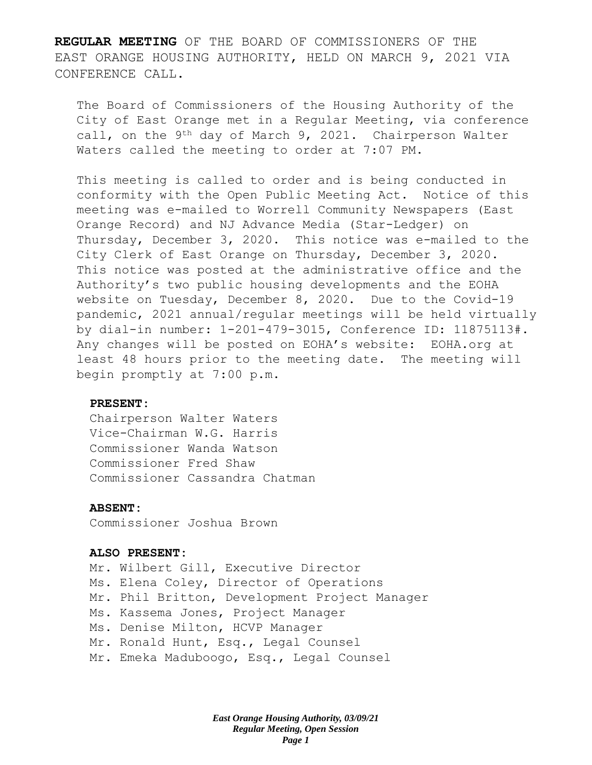**REGULAR MEETING** OF THE BOARD OF COMMISSIONERS OF THE EAST ORANGE HOUSING AUTHORITY, HELD ON MARCH 9, 2021 VIA CONFERENCE CALL.

The Board of Commissioners of the Housing Authority of the City of East Orange met in a Regular Meeting, via conference call, on the 9th day of March 9, 2021. Chairperson Walter Waters called the meeting to order at 7:07 PM.

This meeting is called to order and is being conducted in conformity with the Open Public Meeting Act. Notice of this meeting was e-mailed to Worrell Community Newspapers (East Orange Record) and NJ Advance Media (Star-Ledger) on Thursday, December 3, 2020. This notice was e-mailed to the City Clerk of East Orange on Thursday, December 3, 2020. This notice was posted at the administrative office and the Authority's two public housing developments and the EOHA website on Tuesday, December 8, 2020. Due to the Covid-19 pandemic, 2021 annual/regular meetings will be held virtually by dial-in number: 1-201-479-3015, Conference ID: 11875113#. Any changes will be posted on EOHA's website: EOHA.org at least 48 hours prior to the meeting date. The meeting will begin promptly at 7:00 p.m.

#### **PRESENT:**

Chairperson Walter Waters Vice-Chairman W.G. Harris Commissioner Wanda Watson Commissioner Fred Shaw Commissioner Cassandra Chatman

#### **ABSENT:**

Commissioner Joshua Brown

#### **ALSO PRESENT:**

Mr. Wilbert Gill, Executive Director Ms. Elena Coley, Director of Operations Mr. Phil Britton, Development Project Manager Ms. Kassema Jones, Project Manager Ms. Denise Milton, HCVP Manager Mr. Ronald Hunt, Esq., Legal Counsel Mr. Emeka Maduboogo, Esq., Legal Counsel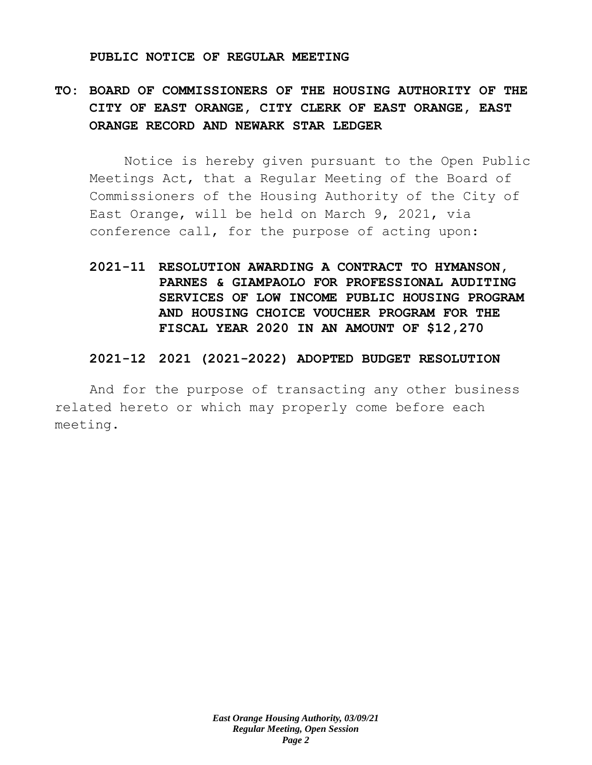#### **PUBLIC NOTICE OF REGULAR MEETING**

# **TO: BOARD OF COMMISSIONERS OF THE HOUSING AUTHORITY OF THE CITY OF EAST ORANGE, CITY CLERK OF EAST ORANGE, EAST ORANGE RECORD AND NEWARK STAR LEDGER**

Notice is hereby given pursuant to the Open Public Meetings Act, that a Regular Meeting of the Board of Commissioners of the Housing Authority of the City of East Orange, will be held on March 9, 2021, via conference call, for the purpose of acting upon:

**2021-11 RESOLUTION AWARDING A CONTRACT TO HYMANSON, PARNES & GIAMPAOLO FOR PROFESSIONAL AUDITING SERVICES OF LOW INCOME PUBLIC HOUSING PROGRAM AND HOUSING CHOICE VOUCHER PROGRAM FOR THE FISCAL YEAR 2020 IN AN AMOUNT OF \$12,270** 

### **2021-12 2021 (2021-2022) ADOPTED BUDGET RESOLUTION**

And for the purpose of transacting any other business related hereto or which may properly come before each meeting.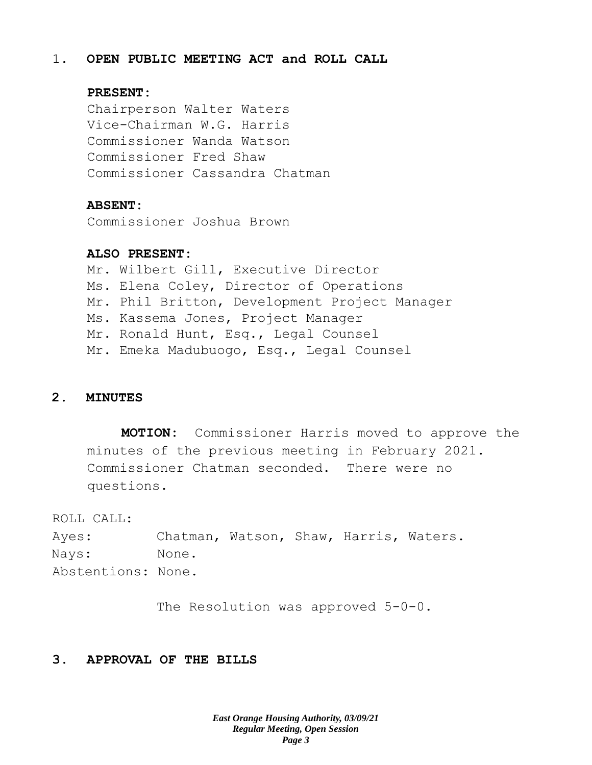### 1. **OPEN PUBLIC MEETING ACT and ROLL CALL**

### **PRESENT:**

Chairperson Walter Waters Vice-Chairman W.G. Harris Commissioner Wanda Watson Commissioner Fred Shaw Commissioner Cassandra Chatman

#### **ABSENT:**

Commissioner Joshua Brown

### **ALSO PRESENT:**

Mr. Wilbert Gill, Executive Director Ms. Elena Coley, Director of Operations Mr. Phil Britton, Development Project Manager Ms. Kassema Jones, Project Manager Mr. Ronald Hunt, Esq., Legal Counsel Mr. Emeka Madubuogo, Esq., Legal Counsel

### **2. MINUTES**

**MOTION:** Commissioner Harris moved to approve the minutes of the previous meeting in February 2021. Commissioner Chatman seconded. There were no questions.

ROLL CALL:

Ayes: Chatman, Watson, Shaw, Harris, Waters. Nays: None. Abstentions: None.

The Resolution was approved 5-0-0.

### **3. APPROVAL OF THE BILLS**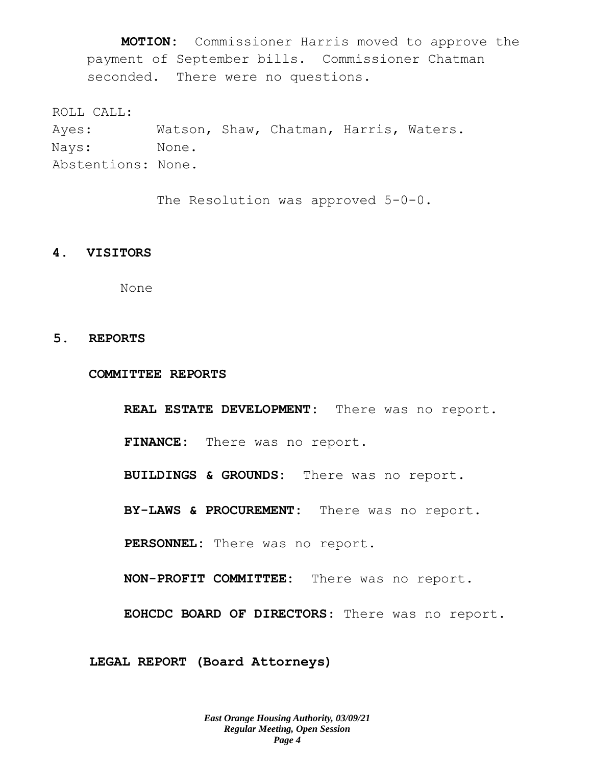**MOTION:** Commissioner Harris moved to approve the payment of September bills. Commissioner Chatman seconded. There were no questions.

ROLL CALL:

Ayes: Watson, Shaw, Chatman, Harris, Waters. Nays: None. Abstentions: None.

The Resolution was approved 5-0-0.

#### **4. VISITORS**

None

#### **5. REPORTS**

**COMMITTEE REPORTS**

**REAL ESTATE DEVELOPMENT:** There was no report. **FINANCE:** There was no report. **BUILDINGS & GROUNDS:** There was no report. **BY-LAWS & PROCUREMENT:** There was no report. **PERSONNEL:** There was no report. **NON-PROFIT COMMITTEE:** There was no report. **EOHCDC BOARD OF DIRECTORS**: There was no report.

**LEGAL REPORT (Board Attorneys)**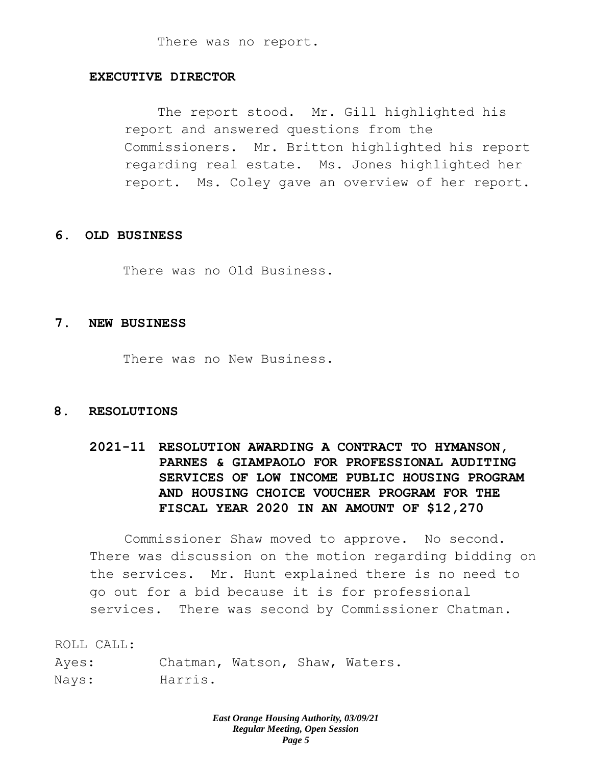There was no report.

### **EXECUTIVE DIRECTOR**

The report stood. Mr. Gill highlighted his report and answered questions from the Commissioners. Mr. Britton highlighted his report regarding real estate. Ms. Jones highlighted her report. Ms. Coley gave an overview of her report.

### **6. OLD BUSINESS**

There was no Old Business.

#### **7. NEW BUSINESS**

There was no New Business.

### **8. RESOLUTIONS**

## **2021-11 RESOLUTION AWARDING A CONTRACT TO HYMANSON, PARNES & GIAMPAOLO FOR PROFESSIONAL AUDITING SERVICES OF LOW INCOME PUBLIC HOUSING PROGRAM AND HOUSING CHOICE VOUCHER PROGRAM FOR THE FISCAL YEAR 2020 IN AN AMOUNT OF \$12,270**

Commissioner Shaw moved to approve. No second. There was discussion on the motion regarding bidding on the services. Mr. Hunt explained there is no need to go out for a bid because it is for professional services. There was second by Commissioner Chatman.

ROLL CALL:

Ayes: Chatman, Watson, Shaw, Waters. Nays: Harris.